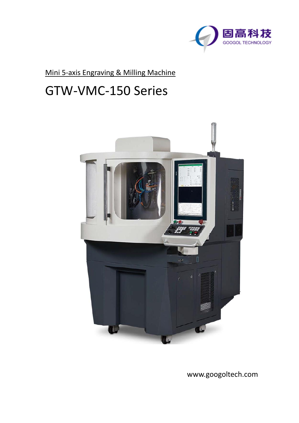

Mini 5-axis Engraving & Milling Machine

## GTW-VMC-150 Series



www.googoltech.com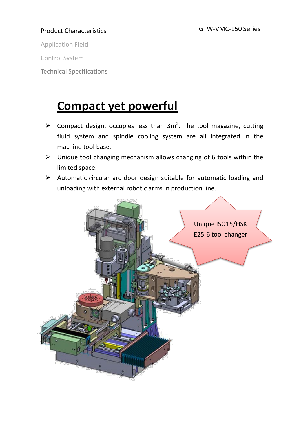#### Product Characteristics

Application Field

Control System

Technical Specifications

# **Compact yet powerful**

- $\triangleright$  Compact design, occupies less than 3m<sup>2</sup>. The tool magazine, cutting fluid system and spindle cooling system are all integrated in the machine tool base.
- $\triangleright$  Unique tool changing mechanism allows changing of 6 tools within the limited space.
- $\triangleright$  Automatic circular arc door design suitable for automatic loading and unloading with external robotic arms in production line.

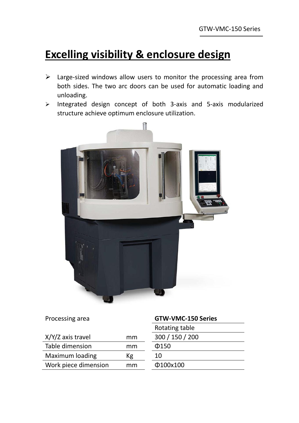### **Excelling visibility & enclosure design**

- $\triangleright$  Large-sized windows allow users to monitor the processing area from both sides. The two arc doors can be used for automatic loading and unloading.
- $\triangleright$  Integrated design concept of both 3-axis and 5-axis modularized structure achieve optimum enclosure utilization.



| Processing area      |    | <b>GTW-VMC-150 Series</b> |
|----------------------|----|---------------------------|
|                      |    | Rotating table            |
| X/Y/Z axis travel    | mm | 300 / 150 / 200           |
| Table dimension      | mm | $\Phi$ 150                |
| Maximum loading      | Кg | 10                        |
| Work piece dimension | mm | Φ100x100                  |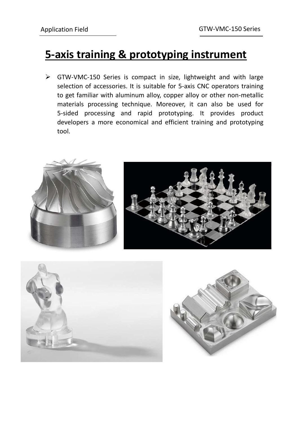#### **5-axis training & prototyping instrument**

 GTW-VMC-150 Series is compact in size, lightweight and with large selection of accessories. It is suitable for 5-axis CNC operators training to get familiar with aluminum alloy, copper alloy or other non-metallic materials processing technique. Moreover, it can also be used for 5-sided processing and rapid prototyping. It provides product developers a more economical and efficient training and prototyping tool.





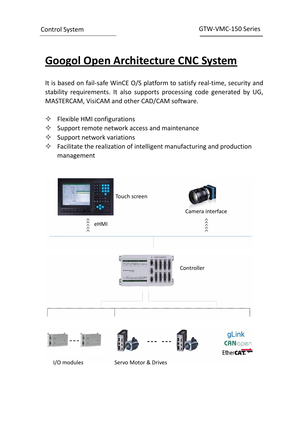### **Googol Open Architecture CNC System**

It is based on fail-safe WinCE O/S platform to satisfy real-time, security and stability requirements. It also supports processing code generated by UG, MASTERCAM, VisiCAM and other CAD/CAM software.

- $\Diamond$  Flexible HMI configurations
- $\Diamond$  Support remote network access and maintenance
- $\Diamond$  Support network variations
- $\Diamond$  Facilitate the realization of intelligent manufacturing and production management

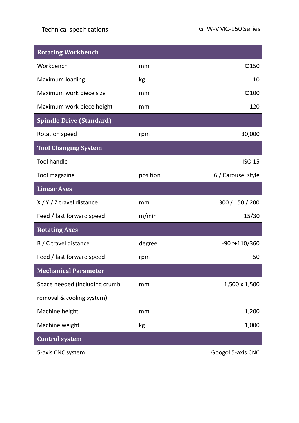#### Technical specifications

GTW-VMC-150 Series

| <b>Rotating Workbench</b>       |          |                             |
|---------------------------------|----------|-----------------------------|
| Workbench                       | mm       | $\Phi$ 150                  |
| Maximum loading                 | kg       | 10                          |
| Maximum work piece size         | mm       | $\Phi$ 100                  |
| Maximum work piece height       | mm       | 120                         |
| <b>Spindle Drive (Standard)</b> |          |                             |
| Rotation speed                  | rpm      | 30,000                      |
| <b>Tool Changing System</b>     |          |                             |
| <b>Tool handle</b>              |          | <b>ISO 15</b>               |
| Tool magazine                   | position | 6 / Carousel style          |
| <b>Linear Axes</b>              |          |                             |
| X/Y/Z travel distance           | mm       | 300 / 150 / 200             |
| Feed / fast forward speed       | m/min    | 15/30                       |
| <b>Rotating Axes</b>            |          |                             |
| B / C travel distance           | degree   | $-90$ <sup>~</sup> +110/360 |
| Feed / fast forward speed       | rpm      | 50                          |
| <b>Mechanical Parameter</b>     |          |                             |
| Space needed (including crumb   | mm       | 1,500 x 1,500               |
| removal & cooling system)       |          |                             |
| Machine height                  | mm       | 1,200                       |
| Machine weight                  | kg       | 1,000                       |
| <b>Control system</b>           |          |                             |
| 5-axis CNC system               |          | Googol 5-axis CNC           |